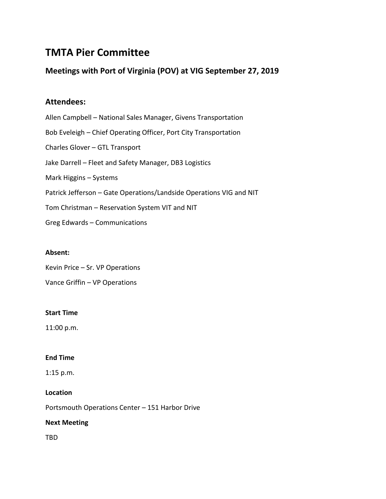# **TMTA Pier Committee**

# **Meetings with Port of Virginia (POV) at VIG September 27, 2019**

# **Attendees:**

Allen Campbell – National Sales Manager, Givens Transportation Bob Eveleigh – Chief Operating Officer, Port City Transportation Charles Glover – GTL Transport Jake Darrell – Fleet and Safety Manager, DB3 Logistics Mark Higgins – Systems Patrick Jefferson – Gate Operations/Landside Operations VIG and NIT Tom Christman – Reservation System VIT and NIT Greg Edwards – Communications

## **Absent:**

Kevin Price – Sr. VP Operations

Vance Griffin – VP Operations

#### **Start Time**

11:00 p.m.

## **End Time**

1:15 p.m.

# **Location**

Portsmouth Operations Center – 151 Harbor Drive

## **Next Meeting**

TBD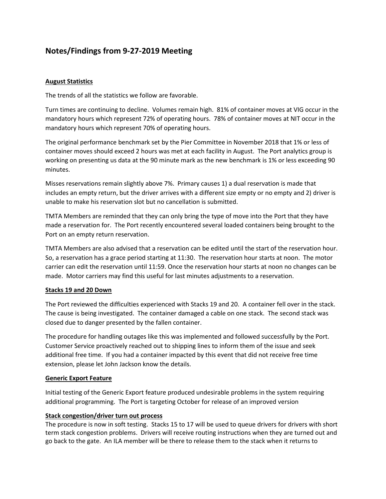# **Notes/Findings from 9-27-2019 Meeting**

### **August Statistics**

The trends of all the statistics we follow are favorable.

Turn times are continuing to decline. Volumes remain high. 81% of container moves at VIG occur in the mandatory hours which represent 72% of operating hours. 78% of container moves at NIT occur in the mandatory hours which represent 70% of operating hours.

The original performance benchmark set by the Pier Committee in November 2018 that 1% or less of container moves should exceed 2 hours was met at each facility in August. The Port analytics group is working on presenting us data at the 90 minute mark as the new benchmark is 1% or less exceeding 90 minutes.

Misses reservations remain slightly above 7%. Primary causes 1) a dual reservation is made that includes an empty return, but the driver arrives with a different size empty or no empty and 2) driver is unable to make his reservation slot but no cancellation is submitted.

TMTA Members are reminded that they can only bring the type of move into the Port that they have made a reservation for. The Port recently encountered several loaded containers being brought to the Port on an empty return reservation.

TMTA Members are also advised that a reservation can be edited until the start of the reservation hour. So, a reservation has a grace period starting at 11:30. The reservation hour starts at noon. The motor carrier can edit the reservation until 11:59. Once the reservation hour starts at noon no changes can be made. Motor carriers may find this useful for last minutes adjustments to a reservation.

#### **Stacks 19 and 20 Down**

The Port reviewed the difficulties experienced with Stacks 19 and 20. A container fell over in the stack. The cause is being investigated. The container damaged a cable on one stack. The second stack was closed due to danger presented by the fallen container.

The procedure for handling outages like this was implemented and followed successfully by the Port. Customer Service proactively reached out to shipping lines to inform them of the issue and seek additional free time. If you had a container impacted by this event that did not receive free time extension, please let John Jackson know the details.

#### **Generic Export Feature**

Initial testing of the Generic Export feature produced undesirable problems in the system requiring additional programming. The Port is targeting October for release of an improved version

#### **Stack congestion/driver turn out process**

The procedure is now in soft testing. Stacks 15 to 17 will be used to queue drivers for drivers with short term stack congestion problems. Drivers will receive routing instructions when they are turned out and go back to the gate. An ILA member will be there to release them to the stack when it returns to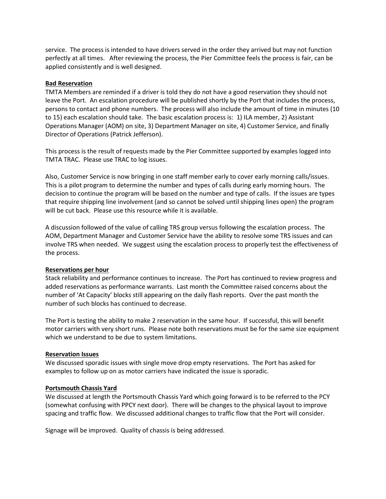service. The process is intended to have drivers served in the order they arrived but may not function perfectly at all times. After reviewing the process, the Pier Committee feels the process is fair, can be applied consistently and is well designed.

#### **Bad Reservation**

TMTA Members are reminded if a driver is told they do not have a good reservation they should not leave the Port. An escalation procedure will be published shortly by the Port that includes the process, persons to contact and phone numbers. The process will also include the amount of time in minutes (10 to 15) each escalation should take. The basic escalation process is: 1) ILA member, 2) Assistant Operations Manager (AOM) on site, 3) Department Manager on site, 4) Customer Service, and finally Director of Operations (Patrick Jefferson).

This process is the result of requests made by the Pier Committee supported by examples logged into TMTA TRAC. Please use TRAC to log issues.

Also, Customer Service is now bringing in one staff member early to cover early morning calls/issues. This is a pilot program to determine the number and types of calls during early morning hours. The decision to continue the program will be based on the number and type of calls. If the issues are types that require shipping line involvement (and so cannot be solved until shipping lines open) the program will be cut back. Please use this resource while it is available.

A discussion followed of the value of calling TRS group versus following the escalation process. The AOM, Department Manager and Customer Service have the ability to resolve some TRS issues and can involve TRS when needed. We suggest using the escalation process to properly test the effectiveness of the process.

#### **Reservations per hour**

Stack reliability and performance continues to increase. The Port has continued to review progress and added reservations as performance warrants. Last month the Committee raised concerns about the number of 'At Capacity' blocks still appearing on the daily flash reports. Over the past month the number of such blocks has continued to decrease.

The Port is testing the ability to make 2 reservation in the same hour. If successful, this will benefit motor carriers with very short runs. Please note both reservations must be for the same size equipment which we understand to be due to system limitations.

#### **Reservation Issues**

We discussed sporadic issues with single move drop empty reservations. The Port has asked for examples to follow up on as motor carriers have indicated the issue is sporadic.

#### **Portsmouth Chassis Yard**

We discussed at length the Portsmouth Chassis Yard which going forward is to be referred to the PCY (somewhat confusing with PPCY next door). There will be changes to the physical layout to improve spacing and traffic flow. We discussed additional changes to traffic flow that the Port will consider.

Signage will be improved. Quality of chassis is being addressed.